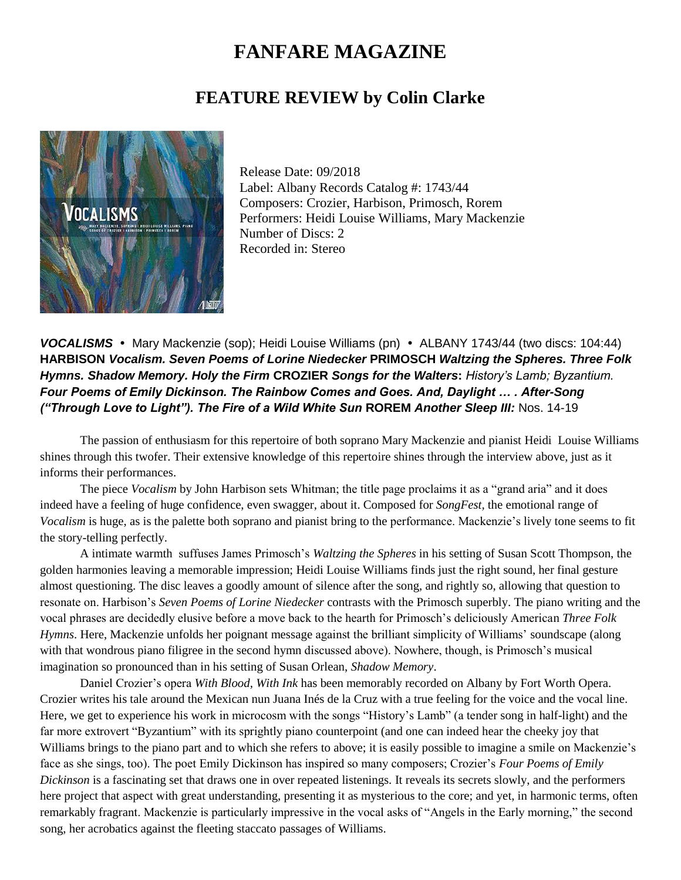## **FANFARE MAGAZINE**

## **FEATURE REVIEW by Colin Clarke**



Release Date: 09/2018 Label: Albany Records Catalog #: 1743/44 Composers: Crozier, Harbison, Primosch, Rorem Performers: Heidi Louise Williams, Mary Mackenzie Number of Discs: 2 Recorded in: Stereo

**VOCALISMS** • Mary Mackenzie (sop); Heidi Louise Williams (pn) • ALBANY 1743/44 (two discs: 104:44) **HARBISON** *Vocalism. Seven Poems of Lorine Niedecker* **PRIMOSCH** *Waltzing the Spheres. Three Folk Hymns. Shadow Memory. Holy the Firm* **CROZIER** *Songs for the Walters***:** *History's Lamb; Byzantium. Four Poems of Emily Dickinson. The Rainbow Comes and Goes. And, Daylight … . After-Song ("Through Love to Light"). The Fire of a Wild White Sun* **ROREM** *Another Sleep III:* Nos. 14-19

The passion of enthusiasm for this repertoire of both soprano Mary Mackenzie and pianist Heidi Louise Williams shines through this twofer. Their extensive knowledge of this repertoire shines through the interview above, just as it informs their performances.

The piece *Vocalism* by John Harbison sets Whitman; the title page proclaims it as a "grand aria" and it does indeed have a feeling of huge confidence, even swagger, about it. Composed for *SongFest,* the emotional range of *Vocalism* is huge, as is the palette both soprano and pianist bring to the performance. Mackenzie's lively tone seems to fit the story-telling perfectly.

A intimate warmth suffuses James Primosch's *Waltzing the Spheres* in his setting of Susan Scott Thompson, the golden harmonies leaving a memorable impression; Heidi Louise Williams finds just the right sound, her final gesture almost questioning. The disc leaves a goodly amount of silence after the song, and rightly so, allowing that question to resonate on. Harbison's *Seven Poems of Lorine Niedecker* contrasts with the Primosch superbly. The piano writing and the vocal phrases are decidedly elusive before a move back to the hearth for Primosch's deliciously American *Three Folk Hymns*. Here, Mackenzie unfolds her poignant message against the brilliant simplicity of Williams' soundscape (along with that wondrous piano filigree in the second hymn discussed above). Nowhere, though, is Primosch's musical imagination so pronounced than in his setting of Susan Orlean, *Shadow Memory*.

Daniel Crozier's opera *With Blood, With Ink* has been memorably recorded on Albany by Fort Worth Opera. Crozier writes his tale around the Mexican nun Juana Inés de la Cruz with a true feeling for the voice and the vocal line. Here, we get to experience his work in microcosm with the songs "History's Lamb" (a tender song in half-light) and the far more extrovert "Byzantium" with its sprightly piano counterpoint (and one can indeed hear the cheeky joy that Williams brings to the piano part and to which she refers to above; it is easily possible to imagine a smile on Mackenzie's face as she sings, too). The poet Emily Dickinson has inspired so many composers; Crozier's *Four Poems of Emily Dickinson* is a fascinating set that draws one in over repeated listenings. It reveals its secrets slowly, and the performers here project that aspect with great understanding, presenting it as mysterious to the core; and yet, in harmonic terms, often remarkably fragrant. Mackenzie is particularly impressive in the vocal asks of "Angels in the Early morning," the second song, her acrobatics against the fleeting staccato passages of Williams.